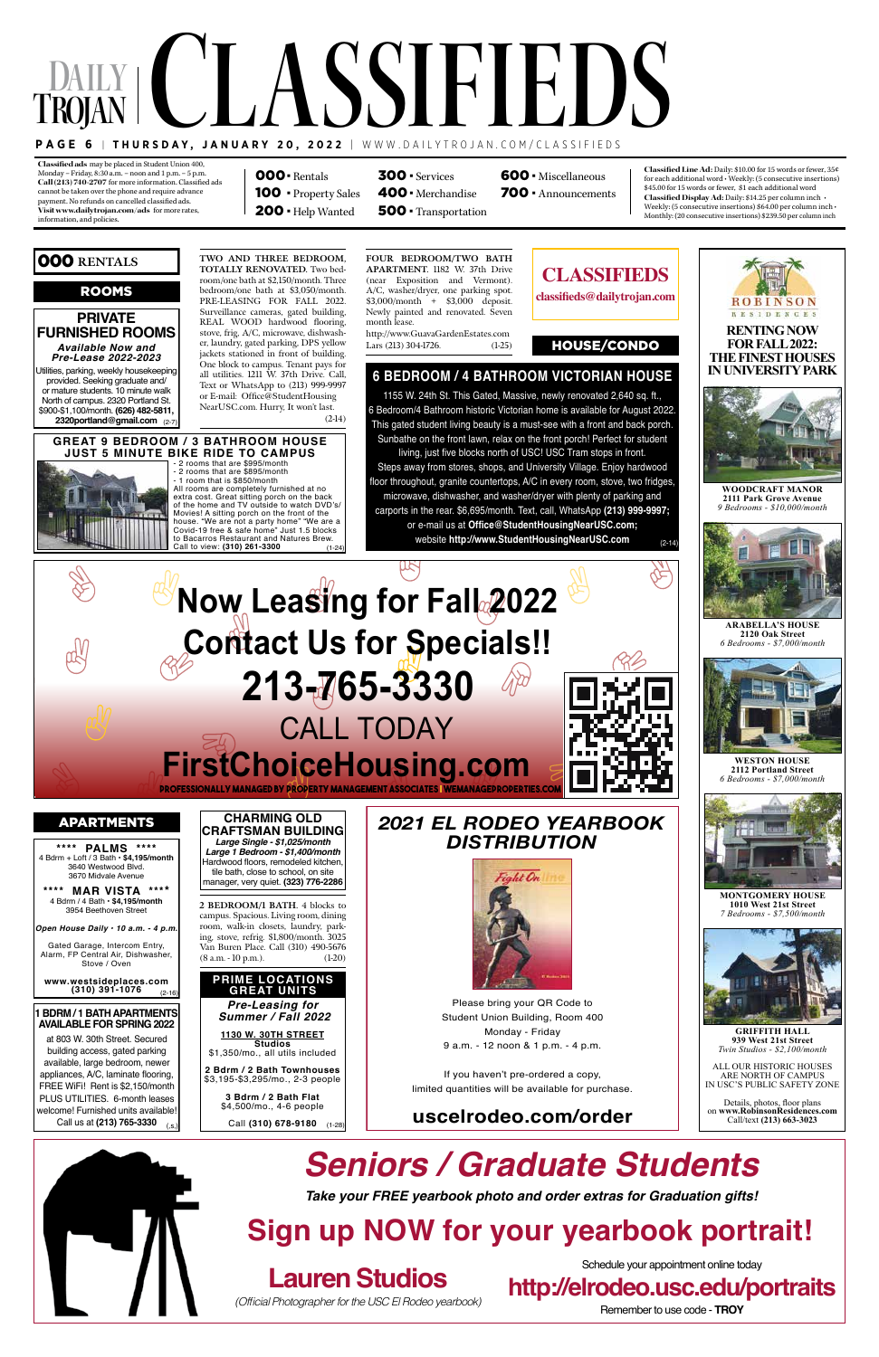**Classified ads:**may be placed in Student Union 400, Monday – Friday, 8:30 a.m. – noon and 1 p.m. – 5 p.m. Call (213) 740-2707 for more information. Classified ads cannot be taken over the phone and require advance payment. No refunds on cancelled classified ads. **Visit www.dailytrojan.com/ads:** for more rates, information, and policies.

## **Daily T PAGE 6 | THURSDAY, JANUARY 20, 2022** | WWW.DAILYTROJAN.COM/CLASSIFIEDS **rojan** LASSIFIEDS

**Classified Line Ad:** Daily: \$10.00 for 15 words or fewer, 35¢ for each additional word  $\boldsymbol{\cdot}$  Weekly: (5 consecutive insertions) \$45.00 for 15 words or fewer, \$1 each additional word **Classified Display Ad:** Daily: \$14.25 per column inch • Weekly: (5 consecutive insertions) \$64.00 per column inch • Monthly: (20 consecutive insertions) \$239.50 per column inch

Steps away from stores, shops, and University Village. Enjoy hardwood floor throughout, granite countertops, A/C in every room, stove, two fridges microwave, dishwasher, and washer/dryer with plenty of parking and carports in the rear. \$6,695/month. Text, call, WhatsApp **(213) 999-9997;**  or e-mail us at **Office@StudentHousingNearUSC.com;**  website http://www.StudentHousingNearUSC.com <br>
<sub>(2-14</sub>)

000· Rentals 100 · Property Sales 200 · Help Wanted

400· Merchandise 500 · Transportation

300 · Services 600 · Miscellaneous

700 · Announcements

# **Now Leasing for Fall 2022 Contact Us for Specials!! 213-765-3330** CALL TODAY **FirstChoiceHousing.com**

- 2 rooms that are \$895/month - 1 room that is \$850/month All rooms are completely furnished at no extra cost. Great sitting porch on the back of the home and TV outside to watch DVD's/ Movies! A sitting porch on the front of the<br>house. "We are not a party home" "We are a<br>Covid-19 free & safe home" Just 1.5 blocks<br>to Bacarros Restaurant and Natures Brew.<br>Call to view: **(310) 261-3300** (1-24

1155 W. 24th St. This Gated, Massive, newly renovated 2,640 sq. ft., 6 Bedroom/4 Bathroom historic Victorian home is available for August 2022. This gated student living beauty is a must-see with a front and back porch. Sunbathe on the front lawn, relax on the front porch! Perfect for student living, just five blocks north of USC! USC Tram stops in front.

#### 2 rooms that are \$995/month **GREAT 9 BEDROOM / 3 BATHROOM HOUSE JUST 5 MINUTE BIKE RIDE TO CAMPUS**

### **6 BEDROOM / 4 BATHROOM VICTORIAN HOUSE**

**Professionally Managed by Property Management Associates | wemanageproperties.com**





at 803 W. 30th Street. Secured building access, gated parking available, large bedroom, newer appliances, A/C, laminate flooring, FREE WiFi! Rent is \$2,150/month PLUS UTILITIES. 6-month leases welcome! Furnished units available! Call us at **(213) 765-3330**  $(.s.)$ 

#### ROOMS

#### 000 **Rentals**

(2-7) **2320portland@gmail.com**

**PRIVATE** 

*Available Now and*





(1-28) Call **(310) 678-9180**

\$1,350/mo., all utils included **2 Bdrm / 2 Bath Townhouses** \$3,195-\$3,295/mo., 2-3 people

**3 Bdrm / 2 Bath Flat** \$4,500/mo., 4-6 people

Utilities, parking, weekly housekeeping provided. Seeking graduate and/ or mature students. 10 minute walk North of campus. 2320 Portland St. \$900-\$1,100/month. **(626) 482-5811, FURNISHED ROOMS** *Pre-Lease 2022-2023* bedroom/one bath at \$3,050/month. PRE-LEASING FOR FALL 2022. Surveillance cameras, gated building, REAL WOOD hardwood flooring, stove, frig, A/C, microwave, dishwasher, laundry, gated parking, DPS yellow jackets stationed in front of building. One block to campus. Tenant pays for all utilities. 1211 W. 37th Drive. Call, Text or WhatsApp to (213) 999-9997 or E-mail: Office@StudentHousing NearUSC.com. Hurry, It won't last.

**TWO AND THREE BEDROOM, TOTALLY RENOVATED.** Two bedroom/one bath at \$2,150/month. Three

(2-14)

**\*\*\*\* PALMS \*\*\*\*** 4 Bdrm + Loft / 3 Bath • **\$4,195/month** 3640 Westwood Blvd. 3670 Midvale Avenue

**\*\*\*\* MAR VISTA \*\*\*\*** 4 Bdrm / 4 Bath • **\$4,195/month** 3954 Beethoven Street

*Open House Daily • 10 a.m. - 4 p.m.*

Gated Garage, Intercom Entry, Alarm, FP Central Air, Dishwasher, Stove / Oven

**www.westsideplaces.com (310) 391-1076** (2-16) **FOUR BEDROOM/TWO BATH APARTMENT.** 1182 W. 37th Drive (near Exposition and Vermont). A/C, washer/dryer, one parking spot. \$3,000/month + \$3,000 deposit. Newly painted and renovated. Seven month lease. http://www.GuavaGardenEstates.com

Lars (213) 304-1726. (1-25)



**CHARMING OLD CRAFTSMAN BUILDING** *Large Single - \$1,025/month Large 1 Bedroom - \$1,400/month* Hardwood floors, remodeled kitchen, tile bath, close to school, on site

manager, very quiet. **(323) 776-2286 2 BEDROOM/1 BATH.** 4 blocks to

campus. Spacious. Living room, dining room, walk-in closets, laundry, parking, stove, refrig. \$1,800/month. 3025 Van Buren Place. Call (310) 490-5676 (8 a.m. - 10 p.m.). (1-20)

HOUSE/CONDO

**WOODCRAFT MANOR 2111 Park Grove Avenue** *9 Bedrooms - \$10,000/month*



**GRIFFITH HALL 939 West 21st Street** *Twin Studios - \$2,100/month*

ALL OUR HISTORIC HOUSES ARE NORTH OF CAMPUS IN USC'S PUBLIC SAFETY ZONE

Details, photos, floor plans on **www.RobinsonResidences.com** Call/text **(213) 663-3023**







**WESTON HOUSE 2112 Portland Street** *6 Bedrooms - \$7,000/month*



**MONTGOMERY HOUSE 1010 West 21st Street** *7 Bedrooms - \$7,500/month*



**ARABELLA'S HOUSE 2120 Oak Street** *6 Bedrooms - \$7,000/month*



**CLASSIFIEDS**

**classifieds@dailytrojan.com**



Please bring your QR Code to Student Union Building, Room 400 Monday - Friday 9 a.m. - 12 noon & 1 p.m. - 4 p.m.

If you haven't pre-ordered a copy, limited quantities will be available for purchase.

### **uscelrodeo.com/order**

*2021 EL RODEO YEARBOOK DISTRIBUTION*



*Take your FREE yearbook photo and order extras for Graduation gifts!*

# **Lauren Studios**

(Official Photographer for the USC El Rodeo yearbook)

# *Seniors / Graduate Students*

# **Sign up NOW for your yearbook portrait!**

Schedule your appointment online today

**http://elrodeo.usc.edu/portraits**

Remember to use code - **TROY**